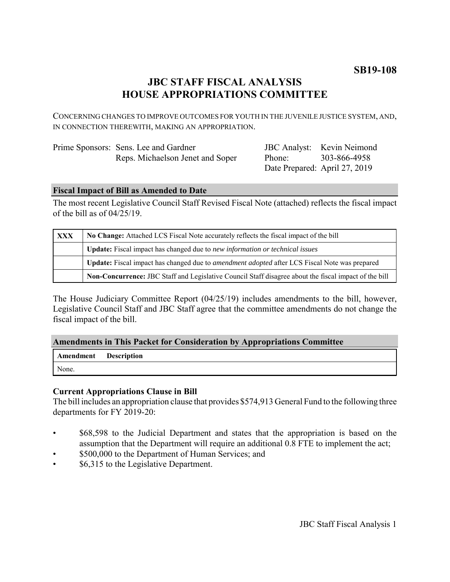# **JBC STAFF FISCAL ANALYSIS HOUSE APPROPRIATIONS COMMITTEE**

CONCERNING CHANGES TO IMPROVE OUTCOMES FOR YOUTH IN THE JUVENILE JUSTICE SYSTEM, AND, IN CONNECTION THEREWITH, MAKING AN APPROPRIATION.

| Prime Sponsors: Sens. Lee and Gardner |
|---------------------------------------|
| Reps. Michaelson Jenet and Soper      |

JBC Analyst: Kevin Neimond Phone: Date Prepared: April 27, 2019 303-866-4958

### **Fiscal Impact of Bill as Amended to Date**

The most recent Legislative Council Staff Revised Fiscal Note (attached) reflects the fiscal impact of the bill as of 04/25/19.

| <b>XXX</b> | No Change: Attached LCS Fiscal Note accurately reflects the fiscal impact of the bill                       |  |
|------------|-------------------------------------------------------------------------------------------------------------|--|
|            | <b>Update:</b> Fiscal impact has changed due to new information or technical issues                         |  |
|            | <b>Update:</b> Fiscal impact has changed due to <i>amendment adopted</i> after LCS Fiscal Note was prepared |  |
|            | Non-Concurrence: JBC Staff and Legislative Council Staff disagree about the fiscal impact of the bill       |  |

The House Judiciary Committee Report (04/25/19) includes amendments to the bill, however, Legislative Council Staff and JBC Staff agree that the committee amendments do not change the fiscal impact of the bill.

## **Amendments in This Packet for Consideration by Appropriations Committee**

| <b>Amendment</b> Description |  |
|------------------------------|--|
| None.                        |  |

## **Current Appropriations Clause in Bill**

The bill includes an appropriation clause that provides \$574,913 General Fund to the following three departments for FY 2019-20:

- \$68,598 to the Judicial Department and states that the appropriation is based on the assumption that the Department will require an additional 0.8 FTE to implement the act;
- \$500,000 to the Department of Human Services; and
- \$6,315 to the Legislative Department.